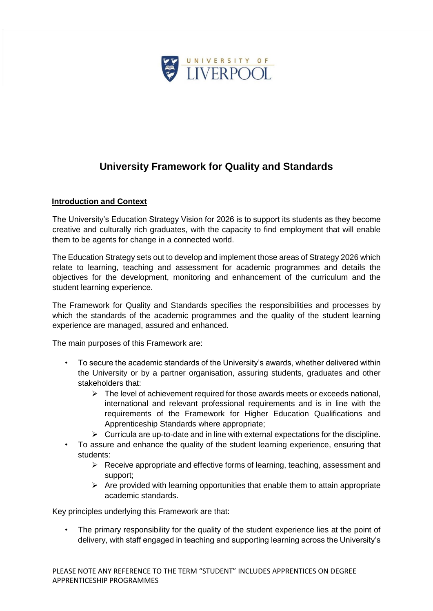

# **University Framework for Quality and Standards**

#### **Introduction and Context**

The University's Education Strategy Vision for 2026 is to support its students as they become creative and culturally rich graduates, with the capacity to find employment that will enable them to be agents for change in a connected world.

The Education Strategy sets out to develop and implement those areas of Strategy 2026 which relate to learning, teaching and assessment for academic programmes and details the objectives for the development, monitoring and enhancement of the curriculum and the student learning experience.

The Framework for Quality and Standards specifies the responsibilities and processes by which the standards of the academic programmes and the quality of the student learning experience are managed, assured and enhanced.

The main purposes of this Framework are:

- To secure the academic standards of the University's awards, whether delivered within the University or by a partner organisation, assuring students, graduates and other stakeholders that:
	- $\triangleright$  The level of achievement required for those awards meets or exceeds national, international and relevant professional requirements and is in line with the requirements of the Framework for Higher Education Qualifications and Apprenticeship Standards where appropriate;
	- $\triangleright$  Curricula are up-to-date and in line with external expectations for the discipline.
- To assure and enhance the quality of the student learning experience, ensuring that students:
	- $\triangleright$  Receive appropriate and effective forms of learning, teaching, assessment and support;
	- $\triangleright$  Are provided with learning opportunities that enable them to attain appropriate academic standards.

Key principles underlying this Framework are that:

The primary responsibility for the quality of the student experience lies at the point of delivery, with staff engaged in teaching and supporting learning across the University's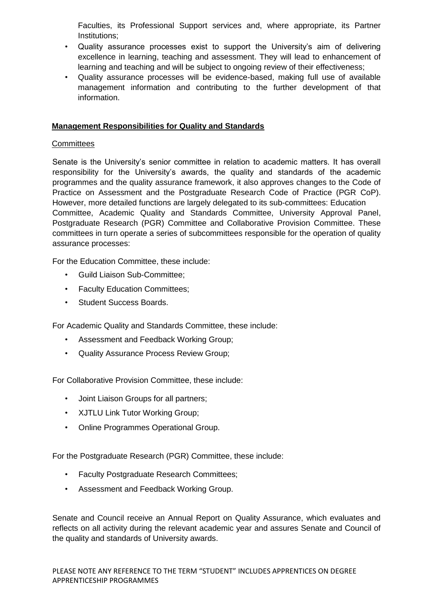Faculties, its Professional Support services and, where appropriate, its Partner Institutions;

- Quality assurance processes exist to support the University's aim of delivering excellence in learning, teaching and assessment. They will lead to enhancement of learning and teaching and will be subject to ongoing review of their effectiveness;
- Quality assurance processes will be evidence-based, making full use of available management information and contributing to the further development of that information.

#### **Management Responsibilities for Quality and Standards**

#### **Committees**

Senate is the University's senior committee in relation to academic matters. It has overall responsibility for the University's awards, the quality and standards of the academic programmes and the quality assurance framework, it also approves changes to the Code of Practice on Assessment and the Postgraduate Research Code of Practice (PGR CoP). However, more detailed functions are largely delegated to its sub-committees: Education Committee, Academic Quality and Standards Committee, University Approval Panel, Postgraduate Research (PGR) Committee and Collaborative Provision Committee. These committees in turn operate a series of subcommittees responsible for the operation of quality assurance processes:

For the Education Committee, these include:

- Guild Liaison Sub-Committee;
- Faculty Education Committees;
- Student Success Boards.

For Academic Quality and Standards Committee, these include:

- Assessment and Feedback Working Group;
- Quality Assurance Process Review Group;

For Collaborative Provision Committee, these include:

- Joint Liaison Groups for all partners;
- XJTLU Link Tutor Working Group;
- Online Programmes Operational Group.

For the Postgraduate Research (PGR) Committee, these include:

- Faculty Postgraduate Research Committees;
- Assessment and Feedback Working Group.

Senate and Council receive an Annual Report on Quality Assurance, which evaluates and reflects on all activity during the relevant academic year and assures Senate and Council of the quality and standards of University awards.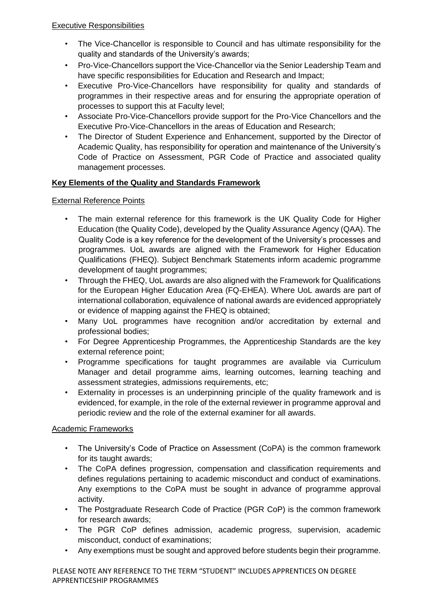- The Vice-Chancellor is responsible to Council and has ultimate responsibility for the quality and standards of the University's awards;
- Pro-Vice-Chancellors support the Vice-Chancellor via the Senior Leadership Team and have specific responsibilities for Education and Research and Impact;
- Executive Pro-Vice-Chancellors have responsibility for quality and standards of programmes in their respective areas and for ensuring the appropriate operation of processes to support this at Faculty level;
- Associate Pro-Vice-Chancellors provide support for the Pro-Vice Chancellors and the Executive Pro-Vice-Chancellors in the areas of Education and Research;
- The Director of Student Experience and Enhancement, supported by the Director of Academic Quality, has responsibility for operation and maintenance of the University's Code of Practice on Assessment, PGR Code of Practice and associated quality management processes.

# **Key Elements of the Quality and Standards Framework**

# External Reference Points

- The main external reference for this framework is the UK Quality Code for Higher Education (the Quality Code), developed by the Quality Assurance Agency (QAA). The Quality Code is a key reference for the development of the University's processes and programmes. UoL awards are aligned with the Framework for Higher Education Qualifications (FHEQ). Subject Benchmark Statements inform academic programme development of taught programmes;
- Through the FHEQ, UoL awards are also aligned with the Framework for Qualifications for the European Higher Education Area (FQ-EHEA). Where UoL awards are part of international collaboration, equivalence of national awards are evidenced appropriately or evidence of mapping against the FHEQ is obtained;
- Many UoL programmes have recognition and/or accreditation by external and professional bodies;
- For Degree Apprenticeship Programmes, the Apprenticeship Standards are the key external reference point;
- Programme specifications for taught programmes are available via Curriculum Manager and detail programme aims, learning outcomes, learning teaching and assessment strategies, admissions requirements, etc;
- Externality in processes is an underpinning principle of the quality framework and is evidenced, for example, in the role of the external reviewer in programme approval and periodic review and the role of the external examiner for all awards.

# Academic Frameworks

- The University's Code of Practice on Assessment (CoPA) is the common framework for its taught awards;
- The CoPA defines progression, compensation and classification requirements and defines regulations pertaining to academic misconduct and conduct of examinations. Any exemptions to the CoPA must be sought in advance of programme approval activity.
- The Postgraduate Research Code of Practice (PGR CoP) is the common framework for research awards;
- The PGR CoP defines admission, academic progress, supervision, academic misconduct, conduct of examinations;
- Any exemptions must be sought and approved before students begin their programme.

PLEASE NOTE ANY REFERENCE TO THE TERM "STUDENT" INCLUDES APPRENTICES ON DEGREE APPRENTICESHIP PROGRAMMES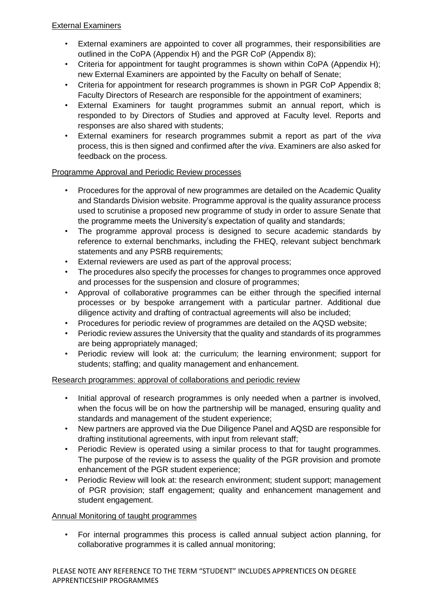#### External Examiners

- External examiners are appointed to cover all programmes, their responsibilities are outlined in the CoPA (Appendix H) and the PGR CoP (Appendix 8);
- Criteria for appointment for taught programmes is shown within CoPA (Appendix H); new External Examiners are appointed by the Faculty on behalf of Senate;
- Criteria for appointment for research programmes is shown in PGR CoP Appendix 8; Faculty Directors of Research are responsible for the appointment of examiners;
- External Examiners for taught programmes submit an annual report, which is responded to by Directors of Studies and approved at Faculty level. Reports and responses are also shared with students;
- External examiners for research programmes submit a report as part of the *viva* process, this is then signed and confirmed after the *viva*. Examiners are also asked for feedback on the process.

# Programme Approval and Periodic Review processes

- Procedures for the approval of new programmes are detailed on the Academic Quality and Standards Division website. Programme approval is the quality assurance process used to scrutinise a proposed new programme of study in order to assure Senate that the programme meets the University's expectation of quality and standards;
- The programme approval process is designed to secure academic standards by reference to external benchmarks, including the FHEQ, relevant subject benchmark statements and any PSRB requirements;
- External reviewers are used as part of the approval process;
- The procedures also specify the processes for changes to programmes once approved and processes for the suspension and closure of programmes;
- Approval of collaborative programmes can be either through the specified internal processes or by bespoke arrangement with a particular partner. Additional due diligence activity and drafting of contractual agreements will also be included;
- Procedures for periodic review of programmes are detailed on the AQSD website;
- Periodic review assures the University that the quality and standards of its programmes are being appropriately managed;
- Periodic review will look at: the curriculum; the learning environment; support for students; staffing; and quality management and enhancement.

# Research programmes: approval of collaborations and periodic review

- Initial approval of research programmes is only needed when a partner is involved, when the focus will be on how the partnership will be managed, ensuring quality and standards and management of the student experience;
- New partners are approved via the Due Diligence Panel and AQSD are responsible for drafting institutional agreements, with input from relevant staff;
- Periodic Review is operated using a similar process to that for taught programmes. The purpose of the review is to assess the quality of the PGR provision and promote enhancement of the PGR student experience;
- Periodic Review will look at: the research environment; student support; management of PGR provision; staff engagement; quality and enhancement management and student engagement.

# Annual Monitoring of taught programmes

• For internal programmes this process is called annual subject action planning, for collaborative programmes it is called annual monitoring;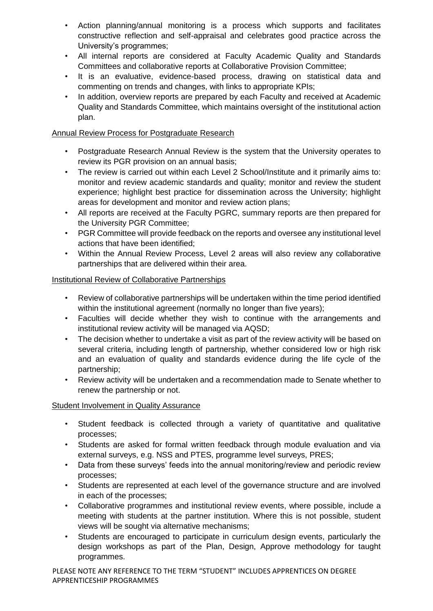- Action planning/annual monitoring is a process which supports and facilitates constructive reflection and self-appraisal and celebrates good practice across the University's programmes;
- All internal reports are considered at Faculty Academic Quality and Standards Committees and collaborative reports at Collaborative Provision Committee;
- It is an evaluative, evidence-based process, drawing on statistical data and commenting on trends and changes, with links to appropriate KPIs;
- In addition, overview reports are prepared by each Faculty and received at Academic Quality and Standards Committee, which maintains oversight of the institutional action plan.

# Annual Review Process for Postgraduate Research

- Postgraduate Research Annual Review is the system that the University operates to review its PGR provision on an annual basis;
- The review is carried out within each Level 2 School/Institute and it primarily aims to: monitor and review academic standards and quality; monitor and review the student experience; highlight best practice for dissemination across the University; highlight areas for development and monitor and review action plans;
- All reports are received at the Faculty PGRC, summary reports are then prepared for the University PGR Committee;
- PGR Committee will provide feedback on the reports and oversee any institutional level actions that have been identified;
- Within the Annual Review Process, Level 2 areas will also review any collaborative partnerships that are delivered within their area.

#### Institutional Review of Collaborative Partnerships

- Review of collaborative partnerships will be undertaken within the time period identified within the institutional agreement (normally no longer than five years);
- Faculties will decide whether they wish to continue with the arrangements and institutional review activity will be managed via AQSD;
- The decision whether to undertake a visit as part of the review activity will be based on several criteria, including length of partnership, whether considered low or high risk and an evaluation of quality and standards evidence during the life cycle of the partnership;
- Review activity will be undertaken and a recommendation made to Senate whether to renew the partnership or not.

#### **Student Involvement in Quality Assurance**

- Student feedback is collected through a variety of quantitative and qualitative processes;
- Students are asked for formal written feedback through module evaluation and via external surveys, e.g. NSS and PTES, programme level surveys, PRES;
- Data from these surveys' feeds into the annual monitoring/review and periodic review processes;
- Students are represented at each level of the governance structure and are involved in each of the processes;
- Collaborative programmes and institutional review events, where possible, include a meeting with students at the partner institution. Where this is not possible, student views will be sought via alternative mechanisms;
- Students are encouraged to participate in curriculum design events, particularly the design workshops as part of the Plan, Design, Approve methodology for taught programmes.

PLEASE NOTE ANY REFERENCE TO THE TERM "STUDENT" INCLUDES APPRENTICES ON DEGREE APPRENTICESHIP PROGRAMMES